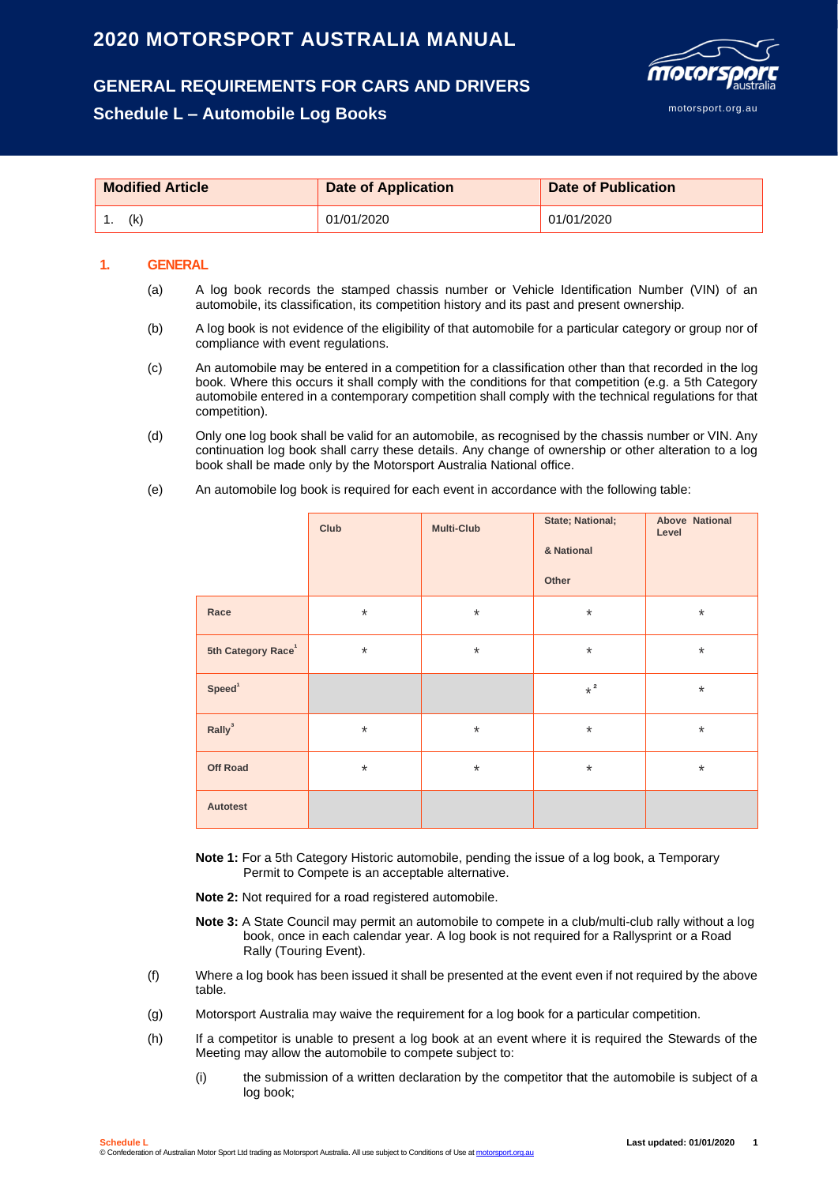## **2020 MOTORSPORT AUSTRALIA MANUAL**

# **GENERAL REQUIREMENTS FOR CARS AND DRIVERS**

### **Schedule L – Automobile Log Books**



| <b>Modified Article</b> | <b>Date of Application</b> | <b>Date of Publication</b> |
|-------------------------|----------------------------|----------------------------|
| (k                      | 01/01/2020                 | 01/01/2020                 |

#### **1. GENERAL**

- (a) A log book records the stamped chassis number or Vehicle Identification Number (VIN) of an automobile, its classification, its competition history and its past and present ownership.
- (b) A log book is not evidence of the eligibility of that automobile for a particular category or group nor of compliance with event regulations.
- (c) An automobile may be entered in a competition for a classification other than that recorded in the log book. Where this occurs it shall comply with the conditions for that competition (e.g. a 5th Category automobile entered in a contemporary competition shall comply with the technical regulations for that competition).
- (d) Only one log book shall be valid for an automobile, as recognised by the chassis number or VIN. Any continuation log book shall carry these details. Any change of ownership or other alteration to a log book shall be made only by the Motorsport Australia National office.
- (e) An automobile log book is required for each event in accordance with the following table:

|                                | Club     | <b>Multi-Club</b> | State; National;<br>& National<br>Other | <b>Above National</b><br>Level |
|--------------------------------|----------|-------------------|-----------------------------------------|--------------------------------|
| Race                           | $\star$  | $\star$           | $\star$                                 | $\star$                        |
| 5th Category Race <sup>1</sup> | $\star$  | $\ast$            | $\star$                                 | $\star$                        |
| Speed <sup>1</sup>             |          |                   | $\star$ $^2$                            | $\star$                        |
| Rally <sup>3</sup>             | $^\star$ | $\ast$            | $\star$                                 | $\star$                        |
| <b>Off Road</b>                | $^\star$ | $\ast$            | $\star$                                 | $\star$                        |
| Autotest                       |          |                   |                                         |                                |

- **Note 1:** For a 5th Category Historic automobile, pending the issue of a log book, a Temporary Permit to Compete is an acceptable alternative.
- **Note 2:** Not required for a road registered automobile.
- **Note 3:** A State Council may permit an automobile to compete in a club/multi-club rally without a log book, once in each calendar year. A log book is not required for a Rallysprint or a Road Rally (Touring Event).
- (f) Where a log book has been issued it shall be presented at the event even if not required by the above table.
- (g) Motorsport Australia may waive the requirement for a log book for a particular competition.
- (h) If a competitor is unable to present a log book at an event where it is required the Stewards of the Meeting may allow the automobile to compete subject to:
	- (i) the submission of a written declaration by the competitor that the automobile is subject of a log book;